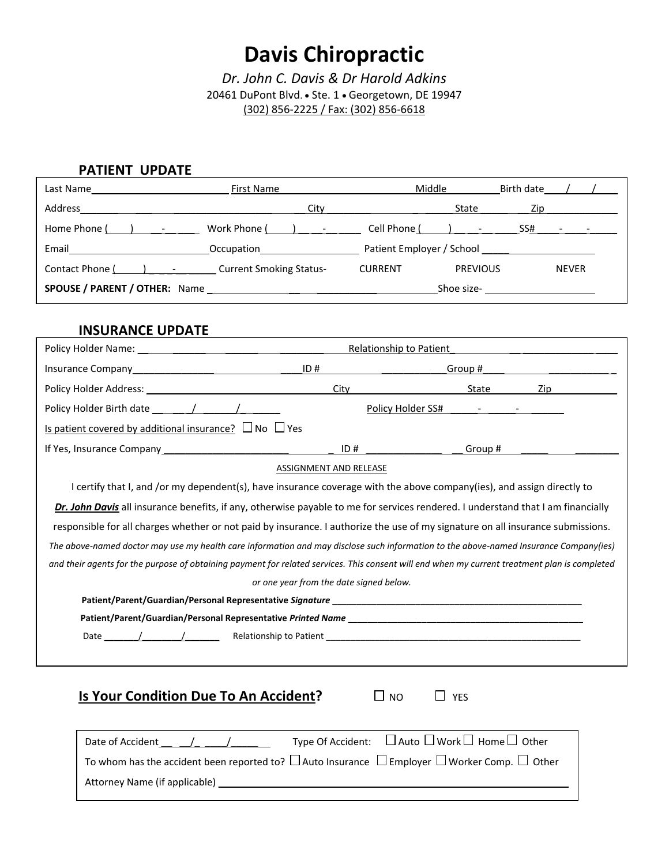# **Davis Chiropractic**

*Dr. John C. Davis & Dr Harold Adkins* 20461 DuPont Blvd. • Ste. 1 • Georgetown, DE 19947 (302) 856-2225 / Fax: (302) 856-6618

## **PATIENT UPDATE**

| Last Name                            | Middle<br>First Name           |                         |                 | Birth date                                  |
|--------------------------------------|--------------------------------|-------------------------|-----------------|---------------------------------------------|
| Address                              | City                           |                         | State           | Zip                                         |
| Home Phone ( ) -                     | Work Phone ( ) –               | Cell Phone $($ $)$ $ -$ |                 | $SS#$ - -                                   |
| Email                                | <b>Occupation</b>              |                         |                 | Patient Employer / School National Assembly |
| Contact Phone ( ) -                  | <b>Current Smoking Status-</b> | <b>CURRENT</b>          | <b>PREVIOUS</b> | <b>NEVER</b>                                |
| <b>SPOUSE / PARENT / OTHER:</b> Name |                                |                         | Shoe size-      |                                             |

## **INSURANCE UPDATE**

|                                                                                                                 | Relationship to Patient |  |         |                                                                                                               |
|-----------------------------------------------------------------------------------------------------------------|-------------------------|--|---------|---------------------------------------------------------------------------------------------------------------|
|                                                                                                                 | ID#                     |  | Group # |                                                                                                               |
|                                                                                                                 |                         |  | State   | Zip and the second second second second second second second second second second second second second second |
| Policy Holder Birth date (a) and (b) and (b) and (b) and (b) and (b) and (b) and (b) and (b) and (b) and (b) a  |                         |  |         |                                                                                                               |
| Is patient covered by additional insurance? $\Box$ No $\Box$ Yes                                                |                         |  |         |                                                                                                               |
| If Yes, Insurance Company and the state of the state of the state of the state of the state of the state of the | ID#                     |  | Group # |                                                                                                               |

#### ASSIGNMENT AND RELEASE

I certify that I, and /or my dependent(s), have insurance coverage with the above company(ies), and assign directly to *Dr. John Davis* all insurance benefits, if any, otherwise payable to me for services rendered. I understand that I am financially responsible for all charges whether or not paid by insurance. I authorize the use of my signature on all insurance submissions. *The above-named doctor may use my health care information and may disclose such information to the above-named Insurance Company(ies) and their agents for the purpose of obtaining payment for related services. This consent will end when my current treatment plan is completed or one year from the date signed below.*

| Patient/Parent/Guardian/Personal Representative Signature    |  |
|--------------------------------------------------------------|--|
| Patient/Parent/Guardian/Personal Representative Printed Name |  |

Date  $\frac{1}{\sqrt{2\pi}}$  /  $\frac{1}{\sqrt{2\pi}}$  Relationship to Patient  $\frac{1}{\sqrt{2\pi}}$ 

# **Is Your Condition Due To An Accident?**  $\Box$  NO  $\Box$  YES

 $\mathcal{L}_\mathcal{L}$  , which is a set of the set of the set of the set of the set of the set of the set of the set of the set of the set

| Date of Accident (and The Control of Accident and Accident and Accident and Accident and Accident Accident Acc |  | Type Of Accident: $\Box$ Auto $\Box$ Work $\Box$ Home $\Box$ Other                                                            |
|----------------------------------------------------------------------------------------------------------------|--|-------------------------------------------------------------------------------------------------------------------------------|
|                                                                                                                |  | To whom has the accident been reported to? $\square$ Auto Insurance $\square$ Employer $\square$ Worker Comp. $\square$ Other |
| Attorney Name (if applicable)                                                                                  |  |                                                                                                                               |